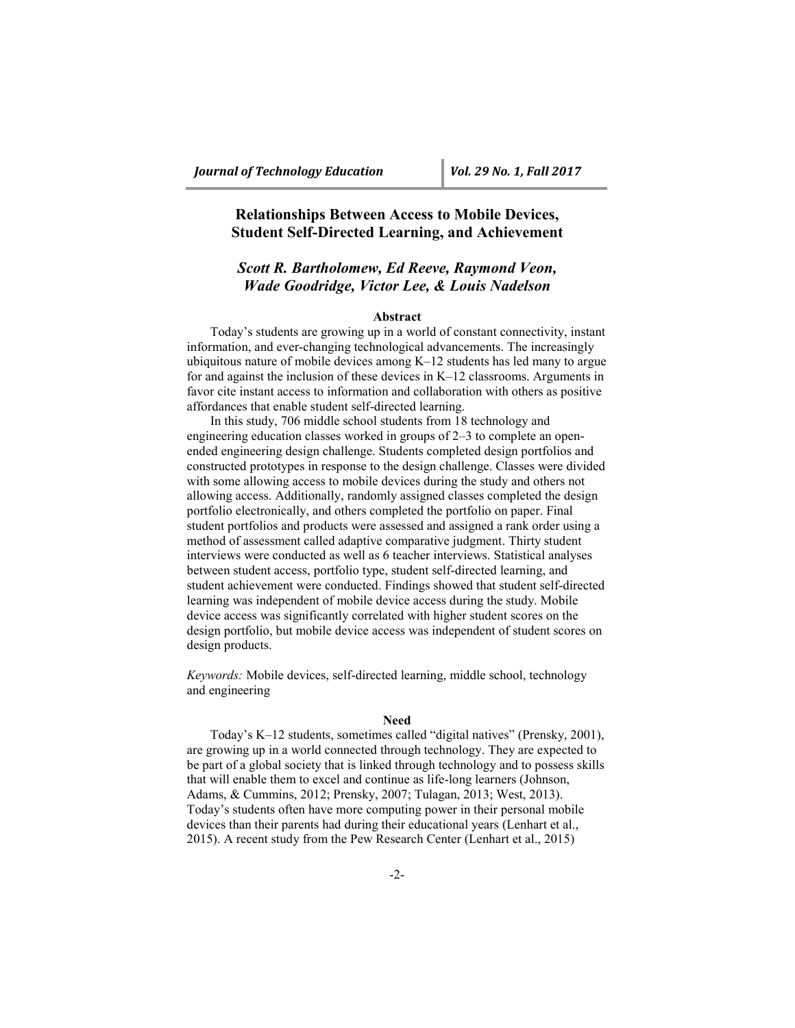# **Relationships Between Access to Mobile Devices, Student Self-Directed Learning, and Achievement**

# *Scott R. Bartholomew, Ed Reeve, Raymond Veon, Wade Goodridge, Victor Lee, & Louis Nadelson*

## **Abstract**

Today's students are growing up in a world of constant connectivity, instant information, and ever-changing technological advancements. The increasingly ubiquitous nature of mobile devices among K–12 students has led many to argue for and against the inclusion of these devices in K–12 classrooms. Arguments in favor cite instant access to information and collaboration with others as positive affordances that enable student self-directed learning.

In this study, 706 middle school students from 18 technology and engineering education classes worked in groups of 2–3 to complete an openended engineering design challenge. Students completed design portfolios and constructed prototypes in response to the design challenge. Classes were divided with some allowing access to mobile devices during the study and others not allowing access. Additionally, randomly assigned classes completed the design portfolio electronically, and others completed the portfolio on paper. Final student portfolios and products were assessed and assigned a rank order using a method of assessment called adaptive comparative judgment. Thirty student interviews were conducted as well as 6 teacher interviews. Statistical analyses between student access, portfolio type, student self-directed learning, and student achievement were conducted. Findings showed that student self-directed learning was independent of mobile device access during the study. Mobile device access was significantly correlated with higher student scores on the design portfolio, but mobile device access was independent of student scores on design products.

*Keywords:* Mobile devices, self-directed learning, middle school, technology and engineering

# **Need**

Today's K–12 students, sometimes called "digital natives" (Prensky, 2001), are growing up in a world connected through technology. They are expected to be part of a global society that is linked through technology and to possess skills that will enable them to excel and continue as life-long learners (Johnson, Adams, & Cummins, 2012; Prensky, 2007; Tulagan, 2013; West, 2013). Today's students often have more computing power in their personal mobile devices than their parents had during their educational years (Lenhart et al., 2015). A recent study from the Pew Research Center (Lenhart et al., 2015)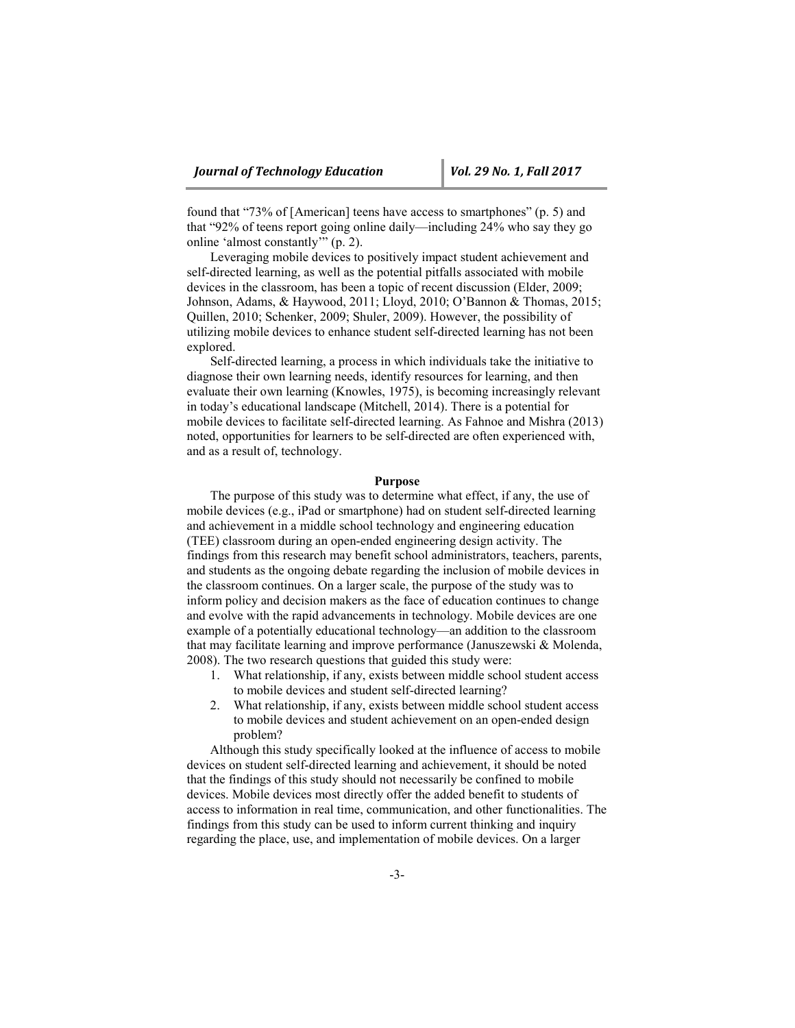found that "73% of [American] teens have access to smartphones" (p. 5) and that "92% of teens report going online daily—including 24% who say they go online 'almost constantly'" (p. 2).

Leveraging mobile devices to positively impact student achievement and self-directed learning, as well as the potential pitfalls associated with mobile devices in the classroom, has been a topic of recent discussion (Elder, 2009; Johnson, Adams, & Haywood, 2011; Lloyd, 2010; O'Bannon & Thomas, 2015; Quillen, 2010; Schenker, 2009; Shuler, 2009). However, the possibility of utilizing mobile devices to enhance student self-directed learning has not been explored.

Self-directed learning, a process in which individuals take the initiative to diagnose their own learning needs, identify resources for learning, and then evaluate their own learning (Knowles, 1975), is becoming increasingly relevant in today's educational landscape (Mitchell, 2014). There is a potential for mobile devices to facilitate self-directed learning. As Fahnoe and Mishra (2013) noted, opportunities for learners to be self-directed are often experienced with, and as a result of, technology.

#### **Purpose**

The purpose of this study was to determine what effect, if any, the use of mobile devices (e.g., iPad or smartphone) had on student self-directed learning and achievement in a middle school technology and engineering education (TEE) classroom during an open-ended engineering design activity. The findings from this research may benefit school administrators, teachers, parents, and students as the ongoing debate regarding the inclusion of mobile devices in the classroom continues. On a larger scale, the purpose of the study was to inform policy and decision makers as the face of education continues to change and evolve with the rapid advancements in technology. Mobile devices are one example of a potentially educational technology—an addition to the classroom that may facilitate learning and improve performance (Januszewski & Molenda, 2008). The two research questions that guided this study were:

- 1. What relationship, if any, exists between middle school student access to mobile devices and student self-directed learning?
- 2. What relationship, if any, exists between middle school student access to mobile devices and student achievement on an open-ended design problem?

Although this study specifically looked at the influence of access to mobile devices on student self-directed learning and achievement, it should be noted that the findings of this study should not necessarily be confined to mobile devices. Mobile devices most directly offer the added benefit to students of access to information in real time, communication, and other functionalities. The findings from this study can be used to inform current thinking and inquiry regarding the place, use, and implementation of mobile devices. On a larger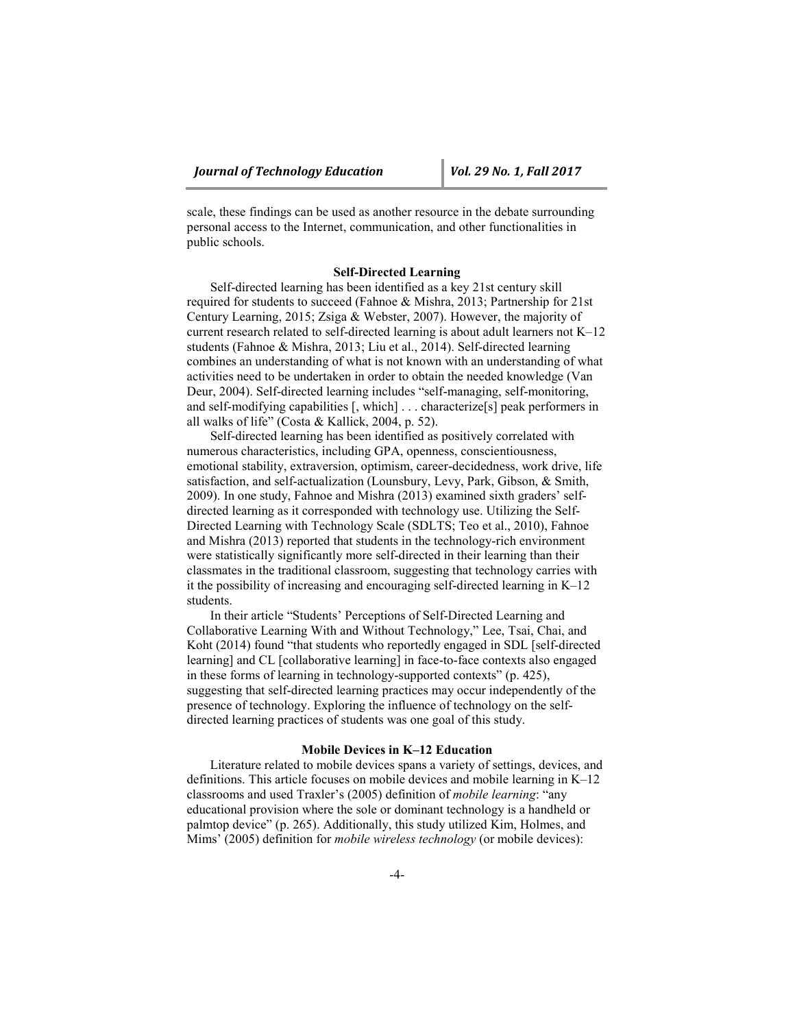scale, these findings can be used as another resource in the debate surrounding personal access to the Internet, communication, and other functionalities in public schools.

## **Self-Directed Learning**

Self-directed learning has been identified as a key 21st century skill required for students to succeed (Fahnoe & Mishra, 2013; Partnership for 21st Century Learning, 2015; Zsiga & Webster, 2007). However, the majority of current research related to self-directed learning is about adult learners not K–12 students (Fahnoe & Mishra, 2013; Liu et al., 2014). Self-directed learning combines an understanding of what is not known with an understanding of what activities need to be undertaken in order to obtain the needed knowledge (Van Deur, 2004). Self-directed learning includes "self-managing, self-monitoring, and self-modifying capabilities [, which] . . . characterize[s] peak performers in all walks of life" (Costa & Kallick, 2004, p. 52).

Self-directed learning has been identified as positively correlated with numerous characteristics, including GPA, openness, conscientiousness, emotional stability, extraversion, optimism, career-decidedness, work drive, life satisfaction, and self-actualization (Lounsbury, Levy, Park, Gibson, & Smith, 2009). In one study, Fahnoe and Mishra (2013) examined sixth graders' selfdirected learning as it corresponded with technology use. Utilizing the Self-Directed Learning with Technology Scale (SDLTS; Teo et al., 2010), Fahnoe and Mishra (2013) reported that students in the technology-rich environment were statistically significantly more self-directed in their learning than their classmates in the traditional classroom, suggesting that technology carries with it the possibility of increasing and encouraging self-directed learning in K–12 students.

In their article "Students' Perceptions of Self-Directed Learning and Collaborative Learning With and Without Technology," Lee, Tsai, Chai, and Koht (2014) found "that students who reportedly engaged in SDL [self-directed learning] and CL [collaborative learning] in face-to-face contexts also engaged in these forms of learning in technology-supported contexts" (p. 425), suggesting that self-directed learning practices may occur independently of the presence of technology. Exploring the influence of technology on the selfdirected learning practices of students was one goal of this study.

#### **Mobile Devices in K–12 Education**

Literature related to mobile devices spans a variety of settings, devices, and definitions. This article focuses on mobile devices and mobile learning in K–12 classrooms and used Traxler's (2005) definition of *mobile learning*: "any educational provision where the sole or dominant technology is a handheld or palmtop device" (p. 265). Additionally, this study utilized Kim, Holmes, and Mims' (2005) definition for *mobile wireless technology* (or mobile devices):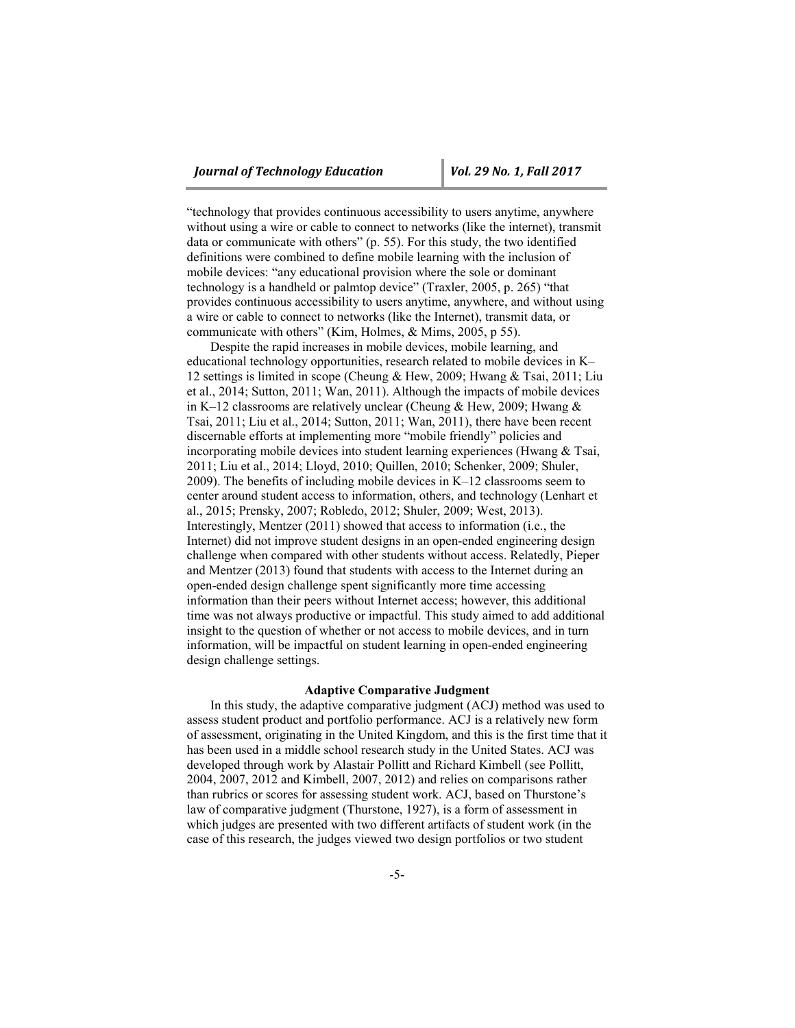"technology that provides continuous accessibility to users anytime, anywhere without using a wire or cable to connect to networks (like the internet), transmit data or communicate with others" (p. 55). For this study, the two identified definitions were combined to define mobile learning with the inclusion of mobile devices: "any educational provision where the sole or dominant technology is a handheld or palmtop device" (Traxler, 2005, p. 265) "that provides continuous accessibility to users anytime, anywhere, and without using a wire or cable to connect to networks (like the Internet), transmit data, or communicate with others" (Kim, Holmes, & Mims, 2005, p 55).

Despite the rapid increases in mobile devices, mobile learning, and educational technology opportunities, research related to mobile devices in K– 12 settings is limited in scope (Cheung & Hew, 2009; Hwang & Tsai, 2011; Liu et al., 2014; Sutton, 2011; Wan, 2011). Although the impacts of mobile devices in K–12 classrooms are relatively unclear (Cheung & Hew, 2009; Hwang & Tsai, 2011; Liu et al., 2014; Sutton, 2011; Wan, 2011), there have been recent discernable efforts at implementing more "mobile friendly" policies and incorporating mobile devices into student learning experiences (Hwang & Tsai, 2011; Liu et al., 2014; Lloyd, 2010; Quillen, 2010; Schenker, 2009; Shuler, 2009). The benefits of including mobile devices in K–12 classrooms seem to center around student access to information, others, and technology (Lenhart et al., 2015; Prensky, 2007; Robledo, 2012; Shuler, 2009; West, 2013). Interestingly, Mentzer (2011) showed that access to information (i.e., the Internet) did not improve student designs in an open-ended engineering design challenge when compared with other students without access. Relatedly, Pieper and Mentzer (2013) found that students with access to the Internet during an open-ended design challenge spent significantly more time accessing information than their peers without Internet access; however, this additional time was not always productive or impactful. This study aimed to add additional insight to the question of whether or not access to mobile devices, and in turn information, will be impactful on student learning in open-ended engineering design challenge settings.

#### **Adaptive Comparative Judgment**

In this study, the adaptive comparative judgment (ACJ) method was used to assess student product and portfolio performance. ACJ is a relatively new form of assessment, originating in the United Kingdom, and this is the first time that it has been used in a middle school research study in the United States. ACJ was developed through work by Alastair Pollitt and Richard Kimbell (see Pollitt, 2004, 2007, 2012 and Kimbell, 2007, 2012) and relies on comparisons rather than rubrics or scores for assessing student work. ACJ, based on Thurstone's law of comparative judgment (Thurstone, 1927), is a form of assessment in which judges are presented with two different artifacts of student work (in the case of this research, the judges viewed two design portfolios or two student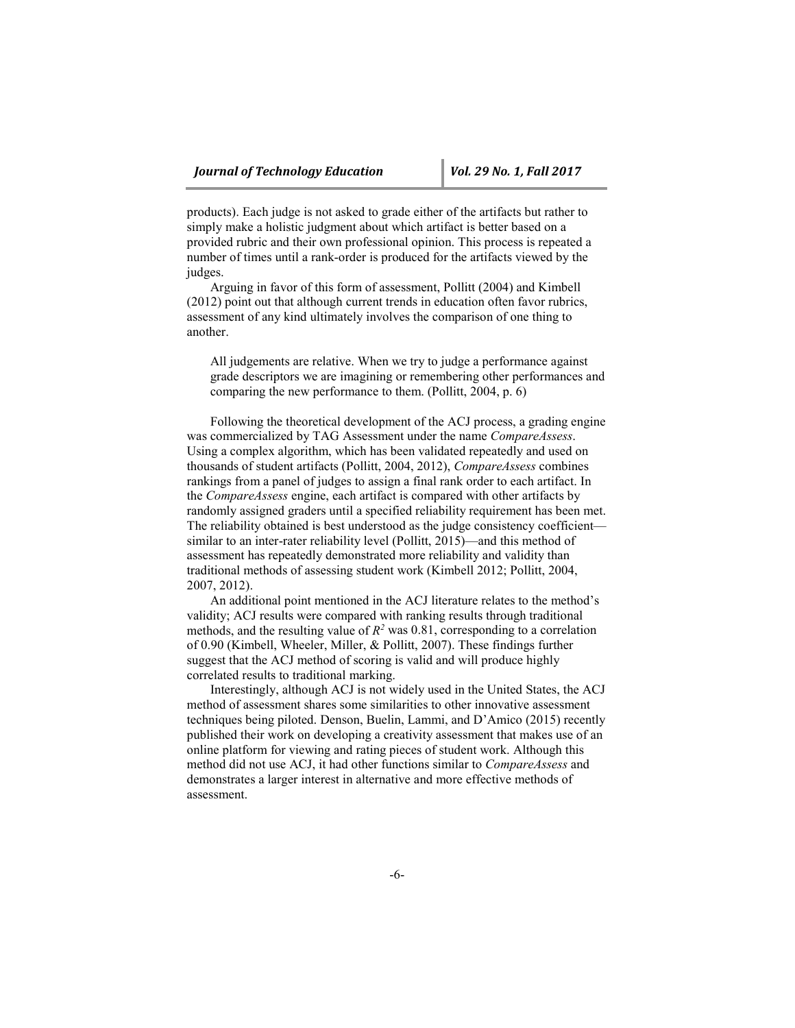products). Each judge is not asked to grade either of the artifacts but rather to simply make a holistic judgment about which artifact is better based on a provided rubric and their own professional opinion. This process is repeated a number of times until a rank-order is produced for the artifacts viewed by the judges.

Arguing in favor of this form of assessment, Pollitt (2004) and Kimbell (2012) point out that although current trends in education often favor rubrics, assessment of any kind ultimately involves the comparison of one thing to another.

All judgements are relative. When we try to judge a performance against grade descriptors we are imagining or remembering other performances and comparing the new performance to them. (Pollitt, 2004, p. 6)

Following the theoretical development of the ACJ process, a grading engine was commercialized by TAG Assessment under the name *CompareAssess*. Using a complex algorithm, which has been validated repeatedly and used on thousands of student artifacts (Pollitt, 2004, 2012), *CompareAssess* combines rankings from a panel of judges to assign a final rank order to each artifact. In the *CompareAssess* engine, each artifact is compared with other artifacts by randomly assigned graders until a specified reliability requirement has been met. The reliability obtained is best understood as the judge consistency coefficient similar to an inter-rater reliability level (Pollitt, 2015)—and this method of assessment has repeatedly demonstrated more reliability and validity than traditional methods of assessing student work (Kimbell 2012; Pollitt, 2004, 2007, 2012).

An additional point mentioned in the ACJ literature relates to the method's validity; ACJ results were compared with ranking results through traditional methods, and the resulting value of  $R^2$  was 0.81, corresponding to a correlation of 0.90 (Kimbell, Wheeler, Miller, & Pollitt, 2007). These findings further suggest that the ACJ method of scoring is valid and will produce highly correlated results to traditional marking.

Interestingly, although ACJ is not widely used in the United States, the ACJ method of assessment shares some similarities to other innovative assessment techniques being piloted. Denson, Buelin, Lammi, and D'Amico (2015) recently published their work on developing a creativity assessment that makes use of an online platform for viewing and rating pieces of student work. Although this method did not use ACJ, it had other functions similar to *CompareAssess* and demonstrates a larger interest in alternative and more effective methods of assessment.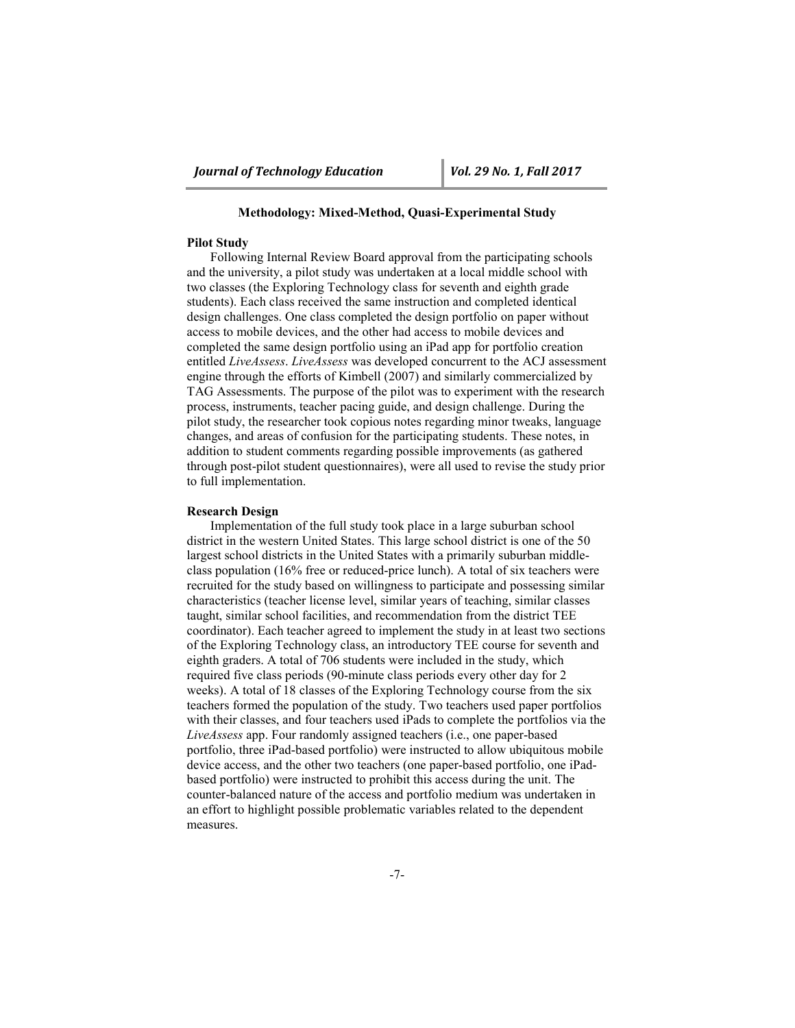# **Methodology: Mixed-Method, Quasi-Experimental Study**

## **Pilot Study**

Following Internal Review Board approval from the participating schools and the university, a pilot study was undertaken at a local middle school with two classes (the Exploring Technology class for seventh and eighth grade students). Each class received the same instruction and completed identical design challenges. One class completed the design portfolio on paper without access to mobile devices, and the other had access to mobile devices and completed the same design portfolio using an iPad app for portfolio creation entitled *LiveAssess*. *LiveAssess* was developed concurrent to the ACJ assessment engine through the efforts of Kimbell (2007) and similarly commercialized by TAG Assessments. The purpose of the pilot was to experiment with the research process, instruments, teacher pacing guide, and design challenge. During the pilot study, the researcher took copious notes regarding minor tweaks, language changes, and areas of confusion for the participating students. These notes, in addition to student comments regarding possible improvements (as gathered through post-pilot student questionnaires), were all used to revise the study prior to full implementation.

## **Research Design**

Implementation of the full study took place in a large suburban school district in the western United States. This large school district is one of the 50 largest school districts in the United States with a primarily suburban middleclass population (16% free or reduced-price lunch). A total of six teachers were recruited for the study based on willingness to participate and possessing similar characteristics (teacher license level, similar years of teaching, similar classes taught, similar school facilities, and recommendation from the district TEE coordinator). Each teacher agreed to implement the study in at least two sections of the Exploring Technology class, an introductory TEE course for seventh and eighth graders. A total of 706 students were included in the study, which required five class periods (90-minute class periods every other day for 2 weeks). A total of 18 classes of the Exploring Technology course from the six teachers formed the population of the study. Two teachers used paper portfolios with their classes, and four teachers used iPads to complete the portfolios via the *LiveAssess* app. Four randomly assigned teachers (i.e., one paper-based portfolio, three iPad-based portfolio) were instructed to allow ubiquitous mobile device access, and the other two teachers (one paper-based portfolio, one iPadbased portfolio) were instructed to prohibit this access during the unit. The counter-balanced nature of the access and portfolio medium was undertaken in an effort to highlight possible problematic variables related to the dependent measures.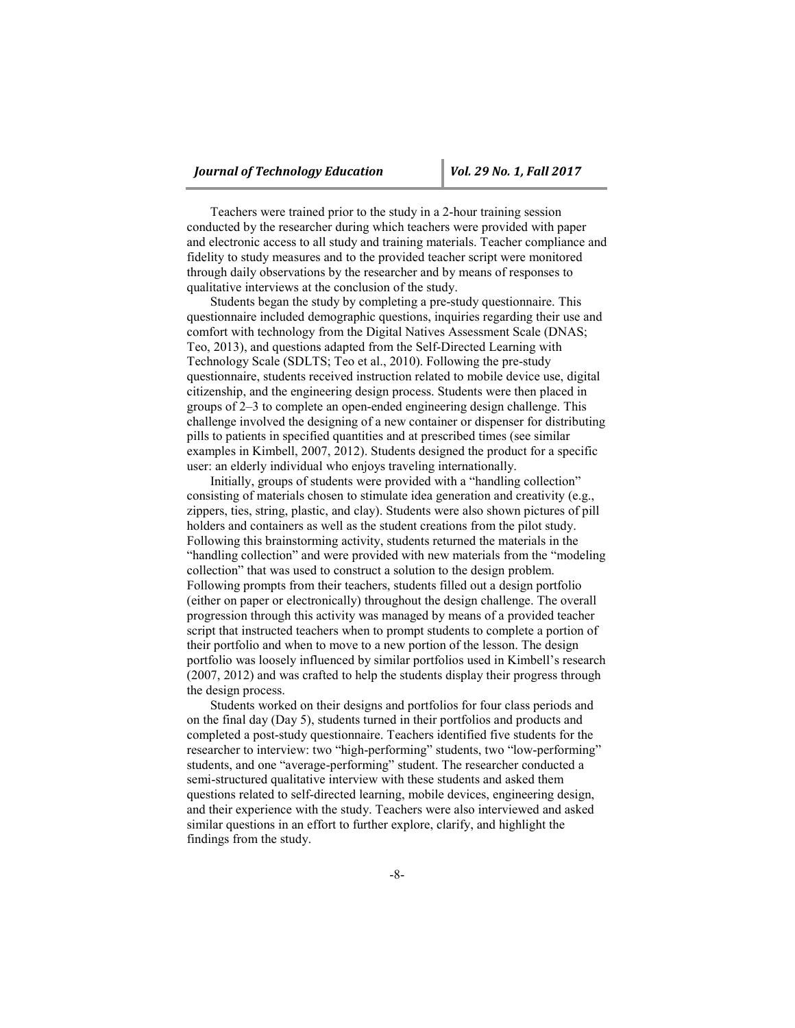Teachers were trained prior to the study in a 2-hour training session conducted by the researcher during which teachers were provided with paper and electronic access to all study and training materials. Teacher compliance and fidelity to study measures and to the provided teacher script were monitored through daily observations by the researcher and by means of responses to qualitative interviews at the conclusion of the study.

Students began the study by completing a pre-study questionnaire. This questionnaire included demographic questions, inquiries regarding their use and comfort with technology from the Digital Natives Assessment Scale (DNAS; Teo, 2013), and questions adapted from the Self-Directed Learning with Technology Scale (SDLTS; Teo et al., 2010). Following the pre-study questionnaire, students received instruction related to mobile device use, digital citizenship, and the engineering design process. Students were then placed in groups of 2–3 to complete an open-ended engineering design challenge. This challenge involved the designing of a new container or dispenser for distributing pills to patients in specified quantities and at prescribed times (see similar examples in Kimbell, 2007, 2012). Students designed the product for a specific user: an elderly individual who enjoys traveling internationally.

Initially, groups of students were provided with a "handling collection" consisting of materials chosen to stimulate idea generation and creativity (e.g., zippers, ties, string, plastic, and clay). Students were also shown pictures of pill holders and containers as well as the student creations from the pilot study. Following this brainstorming activity, students returned the materials in the "handling collection" and were provided with new materials from the "modeling collection" that was used to construct a solution to the design problem. Following prompts from their teachers, students filled out a design portfolio (either on paper or electronically) throughout the design challenge. The overall progression through this activity was managed by means of a provided teacher script that instructed teachers when to prompt students to complete a portion of their portfolio and when to move to a new portion of the lesson. The design portfolio was loosely influenced by similar portfolios used in Kimbell's research (2007, 2012) and was crafted to help the students display their progress through the design process.

Students worked on their designs and portfolios for four class periods and on the final day (Day 5), students turned in their portfolios and products and completed a post-study questionnaire. Teachers identified five students for the researcher to interview: two "high-performing" students, two "low-performing" students, and one "average-performing" student. The researcher conducted a semi-structured qualitative interview with these students and asked them questions related to self-directed learning, mobile devices, engineering design, and their experience with the study. Teachers were also interviewed and asked similar questions in an effort to further explore, clarify, and highlight the findings from the study.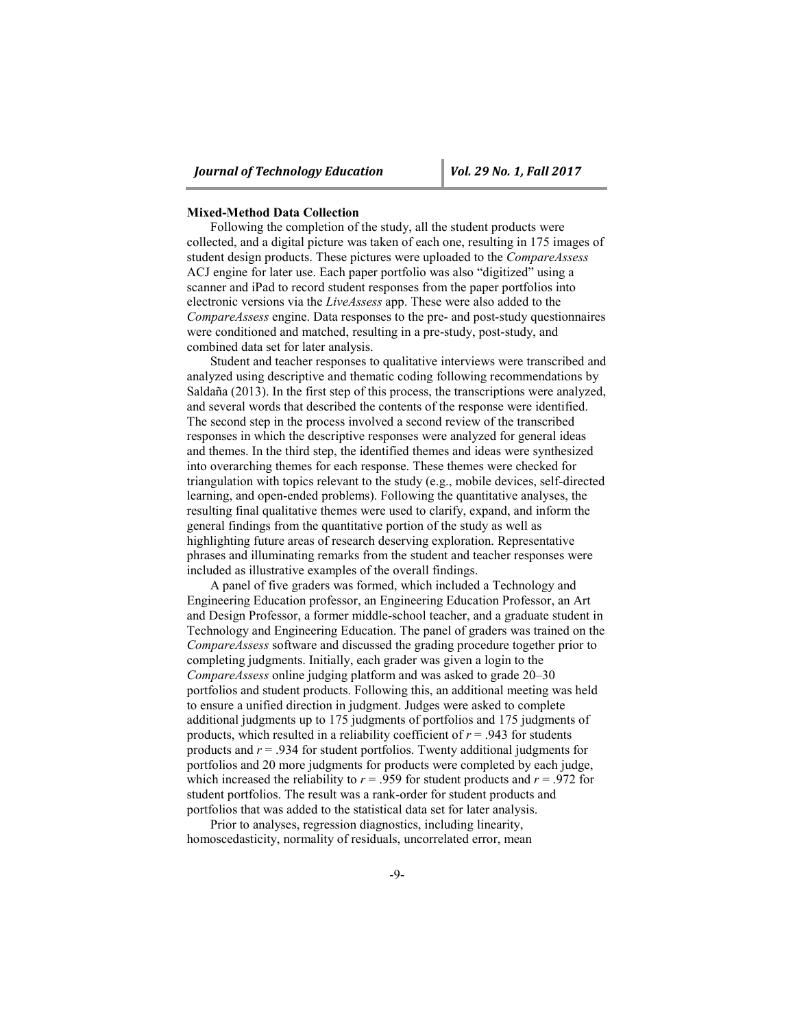#### **Mixed-Method Data Collection**

Following the completion of the study, all the student products were collected, and a digital picture was taken of each one, resulting in 175 images of student design products. These pictures were uploaded to the *CompareAssess* ACJ engine for later use. Each paper portfolio was also "digitized" using a scanner and iPad to record student responses from the paper portfolios into electronic versions via the *LiveAssess* app. These were also added to the *CompareAssess* engine. Data responses to the pre- and post-study questionnaires were conditioned and matched, resulting in a pre-study, post-study, and combined data set for later analysis.

Student and teacher responses to qualitative interviews were transcribed and analyzed using descriptive and thematic coding following recommendations by Saldaña (2013). In the first step of this process, the transcriptions were analyzed, and several words that described the contents of the response were identified. The second step in the process involved a second review of the transcribed responses in which the descriptive responses were analyzed for general ideas and themes. In the third step, the identified themes and ideas were synthesized into overarching themes for each response. These themes were checked for triangulation with topics relevant to the study (e.g., mobile devices, self-directed learning, and open-ended problems). Following the quantitative analyses, the resulting final qualitative themes were used to clarify, expand, and inform the general findings from the quantitative portion of the study as well as highlighting future areas of research deserving exploration. Representative phrases and illuminating remarks from the student and teacher responses were included as illustrative examples of the overall findings.

A panel of five graders was formed, which included a Technology and Engineering Education professor, an Engineering Education Professor, an Art and Design Professor, a former middle-school teacher, and a graduate student in Technology and Engineering Education. The panel of graders was trained on the *CompareAssess* software and discussed the grading procedure together prior to completing judgments. Initially, each grader was given a login to the *CompareAssess* online judging platform and was asked to grade 20–30 portfolios and student products. Following this, an additional meeting was held to ensure a unified direction in judgment. Judges were asked to complete additional judgments up to 175 judgments of portfolios and 175 judgments of products, which resulted in a reliability coefficient of  $r = .943$  for students products and *r* = .934 for student portfolios. Twenty additional judgments for portfolios and 20 more judgments for products were completed by each judge, which increased the reliability to  $r = .959$  for student products and  $r = .972$  for student portfolios. The result was a rank-order for student products and portfolios that was added to the statistical data set for later analysis.

Prior to analyses, regression diagnostics, including linearity, homoscedasticity, normality of residuals, uncorrelated error, mean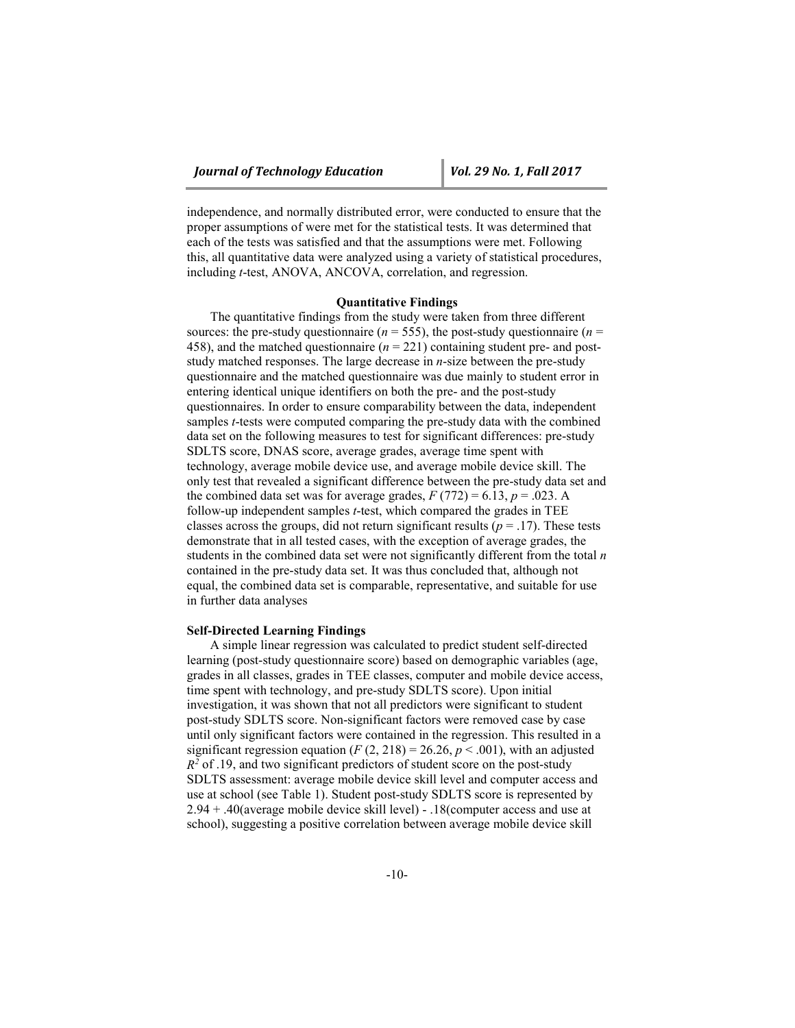independence, and normally distributed error, were conducted to ensure that the proper assumptions of were met for the statistical tests. It was determined that each of the tests was satisfied and that the assumptions were met. Following this, all quantitative data were analyzed using a variety of statistical procedures, including *t*-test, ANOVA, ANCOVA, correlation, and regression.

## **Quantitative Findings**

The quantitative findings from the study were taken from three different sources: the pre-study questionnaire ( $n = 555$ ), the post-study questionnaire ( $n =$ 458), and the matched questionnaire (*n* = 221) containing student pre- and poststudy matched responses. The large decrease in *n*-size between the pre-study questionnaire and the matched questionnaire was due mainly to student error in entering identical unique identifiers on both the pre- and the post-study questionnaires. In order to ensure comparability between the data, independent samples *t*-tests were computed comparing the pre-study data with the combined data set on the following measures to test for significant differences: pre-study SDLTS score, DNAS score, average grades, average time spent with technology, average mobile device use, and average mobile device skill. The only test that revealed a significant difference between the pre-study data set and the combined data set was for average grades,  $F(772) = 6.13$ ,  $p = .023$ . A follow-up independent samples *t*-test, which compared the grades in TEE classes across the groups, did not return significant results ( $p = .17$ ). These tests demonstrate that in all tested cases, with the exception of average grades, the students in the combined data set were not significantly different from the total *n* contained in the pre-study data set. It was thus concluded that, although not equal, the combined data set is comparable, representative, and suitable for use in further data analyses

#### **Self-Directed Learning Findings**

A simple linear regression was calculated to predict student self-directed learning (post-study questionnaire score) based on demographic variables (age, grades in all classes, grades in TEE classes, computer and mobile device access, time spent with technology, and pre-study SDLTS score). Upon initial investigation, it was shown that not all predictors were significant to student post-study SDLTS score. Non-significant factors were removed case by case until only significant factors were contained in the regression. This resulted in a significant regression equation  $(F(2, 218) = 26.26, p < .001)$ , with an adjusted  $R<sup>2</sup>$  of .19, and two significant predictors of student score on the post-study SDLTS assessment: average mobile device skill level and computer access and use at school (see Table 1). Student post-study SDLTS score is represented by 2.94 + .40(average mobile device skill level) - .18(computer access and use at school), suggesting a positive correlation between average mobile device skill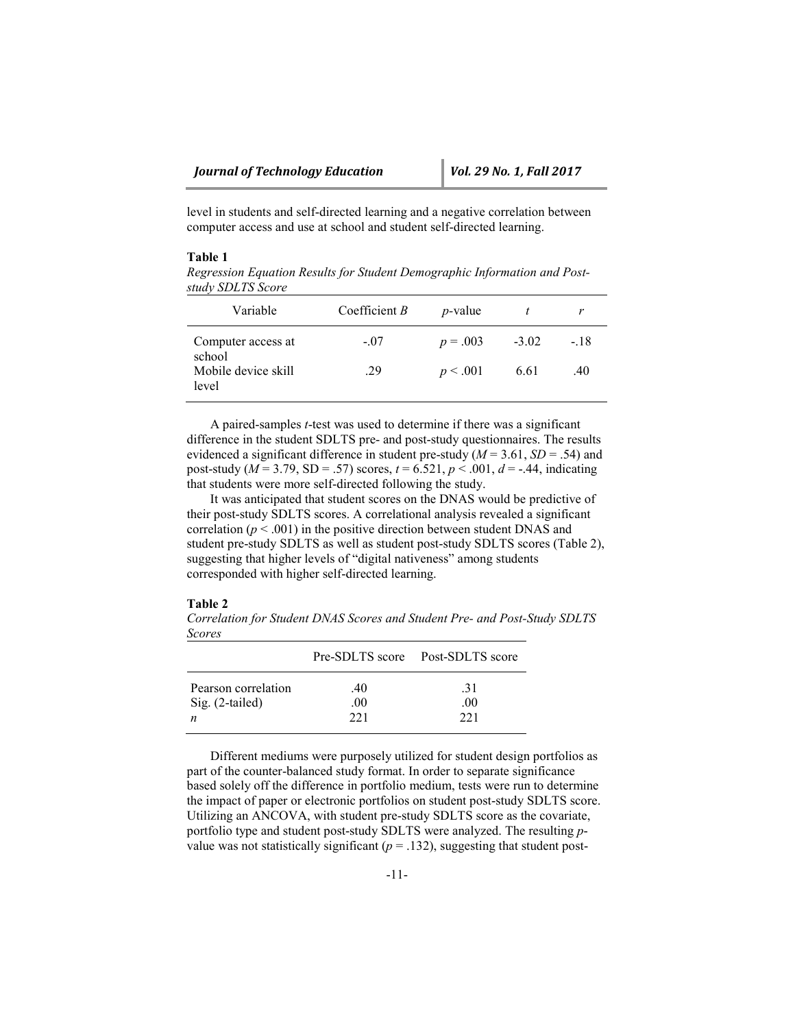level in students and self-directed learning and a negative correlation between computer access and use at school and student self-directed learning.

# **Table 1**

*Regression Equation Results for Student Demographic Information and Poststudy SDLTS Score*

| Variable                     | Coefficient $B$ | <i>p</i> -value |         |        |
|------------------------------|-----------------|-----------------|---------|--------|
| Computer access at<br>school | $-.07$          | $p = .003$      | $-3.02$ | $-.18$ |
| Mobile device skill<br>level | .29             | p < .001        | 6.61    | .40    |

A paired-samples *t*-test was used to determine if there was a significant difference in the student SDLTS pre- and post-study questionnaires. The results evidenced a significant difference in student pre-study ( $M = 3.61$ ,  $SD = .54$ ) and post-study ( $M = 3.79$ , SD = .57) scores,  $t = 6.521$ ,  $p < .001$ ,  $d = -.44$ , indicating that students were more self-directed following the study.

It was anticipated that student scores on the DNAS would be predictive of their post-study SDLTS scores. A correlational analysis revealed a significant correlation  $(p < .001)$  in the positive direction between student DNAS and student pre-study SDLTS as well as student post-study SDLTS scores (Table 2), suggesting that higher levels of "digital nativeness" among students corresponded with higher self-directed learning.

## **Table 2**

*Correlation for Student DNAS Scores and Student Pre- and Post-Study SDLTS Scores*

|                     |      | Pre-SDLTS score Post-SDLTS score |
|---------------------|------|----------------------------------|
| Pearson correlation | .40  | -31                              |
| $Sig. (2-tailed)$   | .00. | .00.                             |
| n                   | 221  | 221                              |

Different mediums were purposely utilized for student design portfolios as part of the counter-balanced study format. In order to separate significance based solely off the difference in portfolio medium, tests were run to determine the impact of paper or electronic portfolios on student post-study SDLTS score. Utilizing an ANCOVA, with student pre-study SDLTS score as the covariate, portfolio type and student post-study SDLTS were analyzed. The resulting *p*value was not statistically significant  $(p = .132)$ , suggesting that student post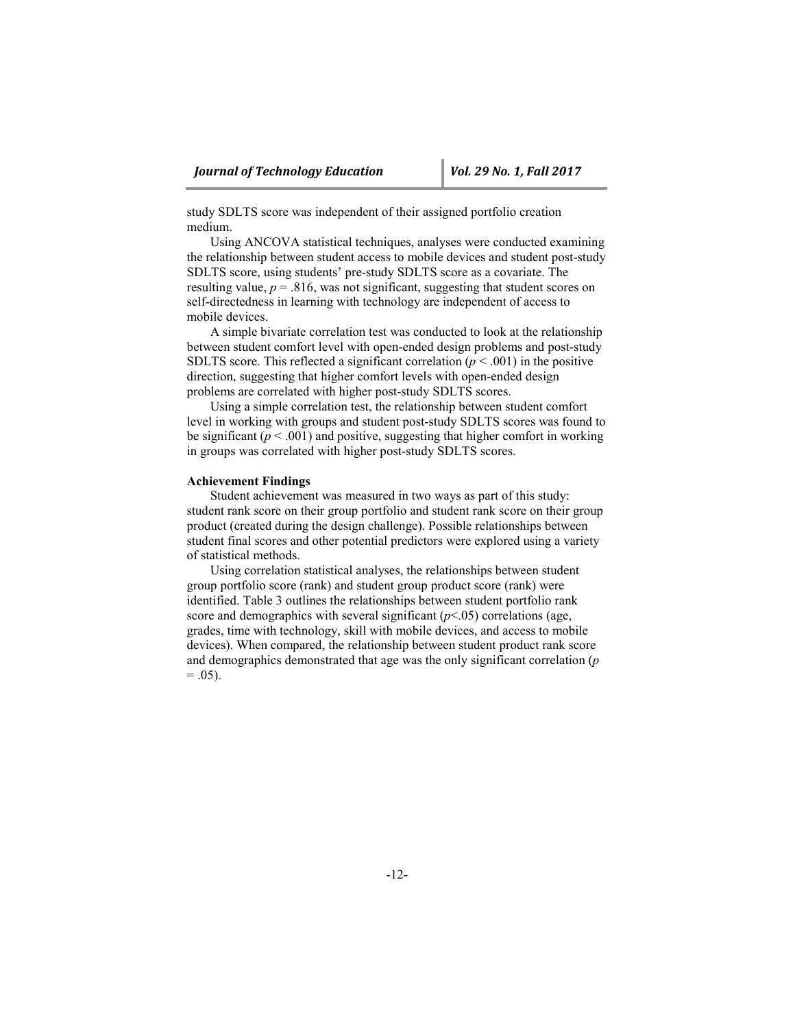study SDLTS score was independent of their assigned portfolio creation medium.

Using ANCOVA statistical techniques, analyses were conducted examining the relationship between student access to mobile devices and student post-study SDLTS score, using students' pre-study SDLTS score as a covariate. The resulting value,  $p = 0.816$ , was not significant, suggesting that student scores on self-directedness in learning with technology are independent of access to mobile devices.

A simple bivariate correlation test was conducted to look at the relationship between student comfort level with open-ended design problems and post-study SDLTS score. This reflected a significant correlation ( $p < .001$ ) in the positive direction, suggesting that higher comfort levels with open-ended design problems are correlated with higher post-study SDLTS scores.

Using a simple correlation test, the relationship between student comfort level in working with groups and student post-study SDLTS scores was found to be significant ( $p < .001$ ) and positive, suggesting that higher comfort in working in groups was correlated with higher post-study SDLTS scores.

## **Achievement Findings**

Student achievement was measured in two ways as part of this study: student rank score on their group portfolio and student rank score on their group product (created during the design challenge). Possible relationships between student final scores and other potential predictors were explored using a variety of statistical methods.

Using correlation statistical analyses, the relationships between student group portfolio score (rank) and student group product score (rank) were identified. Table 3 outlines the relationships between student portfolio rank score and demographics with several significant  $(p<0.05)$  correlations (age, grades, time with technology, skill with mobile devices, and access to mobile devices). When compared, the relationship between student product rank score and demographics demonstrated that age was the only significant correlation (*p*  $= .05$ ).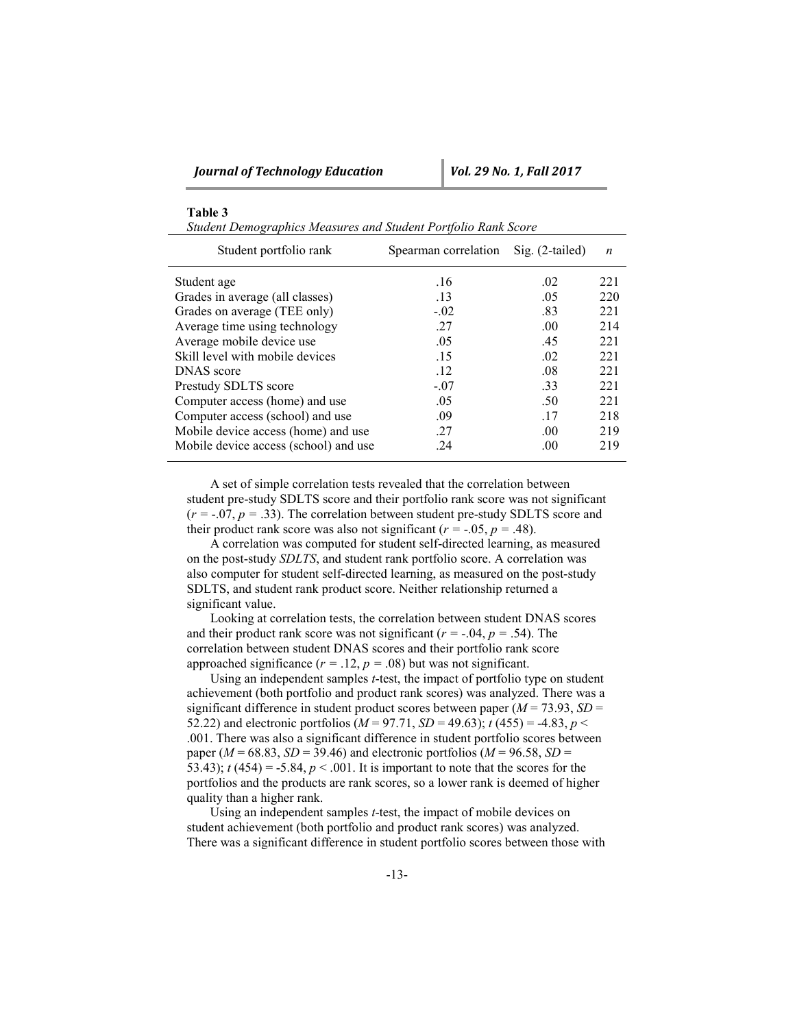| Table |  |
|-------|--|
|-------|--|

*Student Demographics Measures and Student Portfolio Rank Score*

| Student portfolio rank                | Spearman correlation | $\text{Sig.}$ (2-tailed) | $\boldsymbol{n}$ |
|---------------------------------------|----------------------|--------------------------|------------------|
| Student age                           | .16                  | .02                      | 221              |
| Grades in average (all classes)       | .13                  | .05                      | 220              |
| Grades on average (TEE only)          | $-.02$               | .83                      | 221              |
| Average time using technology         | .27                  | .00                      | 214              |
| Average mobile device use             | .05                  | .45                      | 221              |
| Skill level with mobile devices       | .15                  | .02                      | 221              |
| DNAS score                            | .12                  | .08                      | 221              |
| Prestudy SDLTS score                  | $-.07$               | .33                      | 221              |
| Computer access (home) and use        | .05                  | .50                      | 221              |
| Computer access (school) and use      | .09                  | -17                      | 218              |
| Mobile device access (home) and use   | .27                  | .00                      | 219              |
| Mobile device access (school) and use | 24                   | .00                      | 219              |

A set of simple correlation tests revealed that the correlation between student pre-study SDLTS score and their portfolio rank score was not significant  $(r = -0.07, p = 0.33)$ . The correlation between student pre-study SDLTS score and their product rank score was also not significant  $(r = -0.05, p = 0.48)$ .

A correlation was computed for student self-directed learning, as measured on the post-study *SDLTS*, and student rank portfolio score. A correlation was also computer for student self-directed learning, as measured on the post-study SDLTS, and student rank product score. Neither relationship returned a significant value.

Looking at correlation tests, the correlation between student DNAS scores and their product rank score was not significant  $(r = -0.04, p = 0.54)$ . The correlation between student DNAS scores and their portfolio rank score approached significance  $(r = .12, p = .08)$  but was not significant.

Using an independent samples *t*-test, the impact of portfolio type on student achievement (both portfolio and product rank scores) was analyzed. There was a significant difference in student product scores between paper  $(M = 73.93, SD =$ 52.22) and electronic portfolios ( $M = 97.71$ ,  $SD = 49.63$ );  $t(455) = -4.83$ ,  $p <$ .001. There was also a significant difference in student portfolio scores between paper ( $M = 68.83$ ,  $SD = 39.46$ ) and electronic portfolios ( $M = 96.58$ ,  $SD =$ 53.43);  $t(454) = -5.84$ ,  $p < .001$ . It is important to note that the scores for the portfolios and the products are rank scores, so a lower rank is deemed of higher quality than a higher rank.

Using an independent samples *t*-test, the impact of mobile devices on student achievement (both portfolio and product rank scores) was analyzed. There was a significant difference in student portfolio scores between those with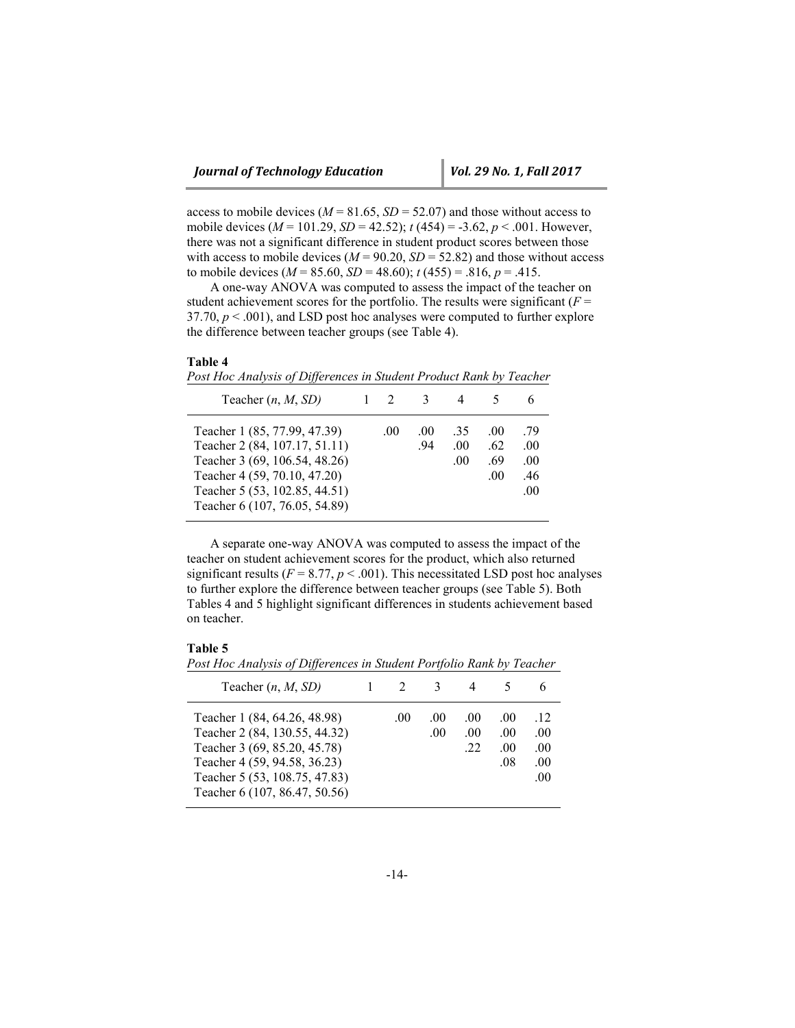access to mobile devices ( $M = 81.65$ ,  $SD = 52.07$ ) and those without access to mobile devices (*M* = 101.29, *SD* = 42.52); *t* (454) = -3.62, *p* < .001. However, there was not a significant difference in student product scores between those with access to mobile devices ( $M = 90.20$ ,  $SD = 52.82$ ) and those without access to mobile devices ( $M = 85.60$ ,  $SD = 48.60$ );  $t(455) = .816$ ,  $p = .415$ .

A one-way ANOVA was computed to assess the impact of the teacher on student achievement scores for the portfolio. The results were significant ( $F =$ 37.70,  $p < .001$ ), and LSD post hoc analyses were computed to further explore the difference between teacher groups (see Table 4).

## **Table 4**

|  | Post Hoc Analysis of Differences in Student Product Rank by Teacher |  |  |
|--|---------------------------------------------------------------------|--|--|
|  |                                                                     |  |  |

| Teacher $(n, M, SD)$                                                                                                                                                                             |     |            |                     |                          |                                 |
|--------------------------------------------------------------------------------------------------------------------------------------------------------------------------------------------------|-----|------------|---------------------|--------------------------|---------------------------------|
| Teacher 1 (85, 77.99, 47.39)<br>Teacher 2 (84, 107.17, 51.11)<br>Teacher 3 (69, 106.54, 48.26)<br>Teacher 4 (59, 70.10, 47.20)<br>Teacher 5 (53, 102.85, 44.51)<br>Teacher 6 (107, 76.05, 54.89) | .00 | .00<br>.94 | -35<br>.00.<br>.00. | .00<br>-62<br>.69<br>.00 | .79<br>.00<br>.00<br>.46<br>.00 |

A separate one-way ANOVA was computed to assess the impact of the teacher on student achievement scores for the product, which also returned significant results ( $F = 8.77$ ,  $p < .001$ ). This necessitated LSD post hoc analyses to further explore the difference between teacher groups (see Table 5). Both Tables 4 and 5 highlight significant differences in students achievement based on teacher.

## **Table 5**

*Post Hoc Analysis of Differences in Student Portfolio Rank by Teacher*

| Teacher $(n, M, SD)$                                                                                                                                                                            |     | -3         |                                |                          |                                    |
|-------------------------------------------------------------------------------------------------------------------------------------------------------------------------------------------------|-----|------------|--------------------------------|--------------------------|------------------------------------|
| Teacher 1 (84, 64.26, 48.98)<br>Teacher 2 (84, 130.55, 44.32)<br>Teacher 3 (69, 85.20, 45.78)<br>Teacher 4 (59, 94.58, 36.23)<br>Teacher 5 (53, 108.75, 47.83)<br>Teacher 6 (107, 86.47, 50.56) | .00 | .00<br>.00 | .00<br>.00 <sub>1</sub><br>.22 | .00<br>.00<br>.00<br>.08 | .12<br>.00<br>.00.<br>.00.<br>.00. |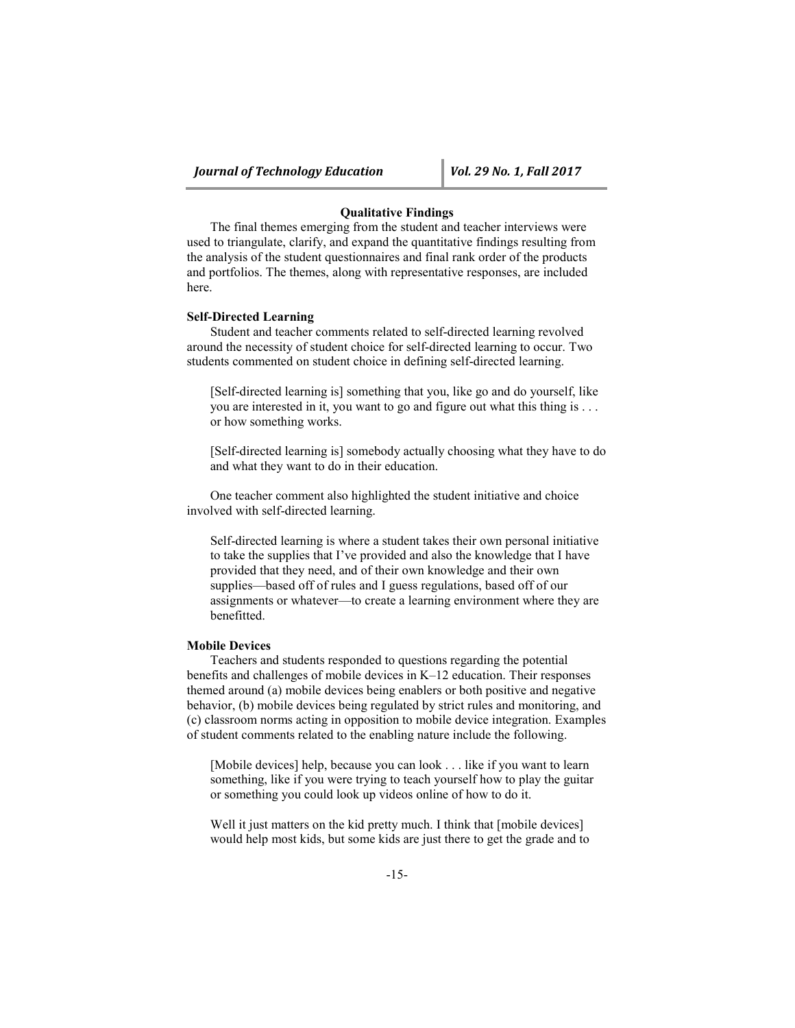# **Qualitative Findings**

The final themes emerging from the student and teacher interviews were used to triangulate, clarify, and expand the quantitative findings resulting from the analysis of the student questionnaires and final rank order of the products and portfolios. The themes, along with representative responses, are included here.

## **Self-Directed Learning**

Student and teacher comments related to self-directed learning revolved around the necessity of student choice for self-directed learning to occur. Two students commented on student choice in defining self-directed learning.

[Self-directed learning is] something that you, like go and do yourself, like you are interested in it, you want to go and figure out what this thing is . . . or how something works.

[Self-directed learning is] somebody actually choosing what they have to do and what they want to do in their education.

One teacher comment also highlighted the student initiative and choice involved with self-directed learning.

Self-directed learning is where a student takes their own personal initiative to take the supplies that I've provided and also the knowledge that I have provided that they need, and of their own knowledge and their own supplies—based off of rules and I guess regulations, based off of our assignments or whatever—to create a learning environment where they are benefitted.

# **Mobile Devices**

Teachers and students responded to questions regarding the potential benefits and challenges of mobile devices in K–12 education. Their responses themed around (a) mobile devices being enablers or both positive and negative behavior, (b) mobile devices being regulated by strict rules and monitoring, and (c) classroom norms acting in opposition to mobile device integration. Examples of student comments related to the enabling nature include the following.

[Mobile devices] help, because you can look . . . like if you want to learn something, like if you were trying to teach yourself how to play the guitar or something you could look up videos online of how to do it.

Well it just matters on the kid pretty much. I think that [mobile devices] would help most kids, but some kids are just there to get the grade and to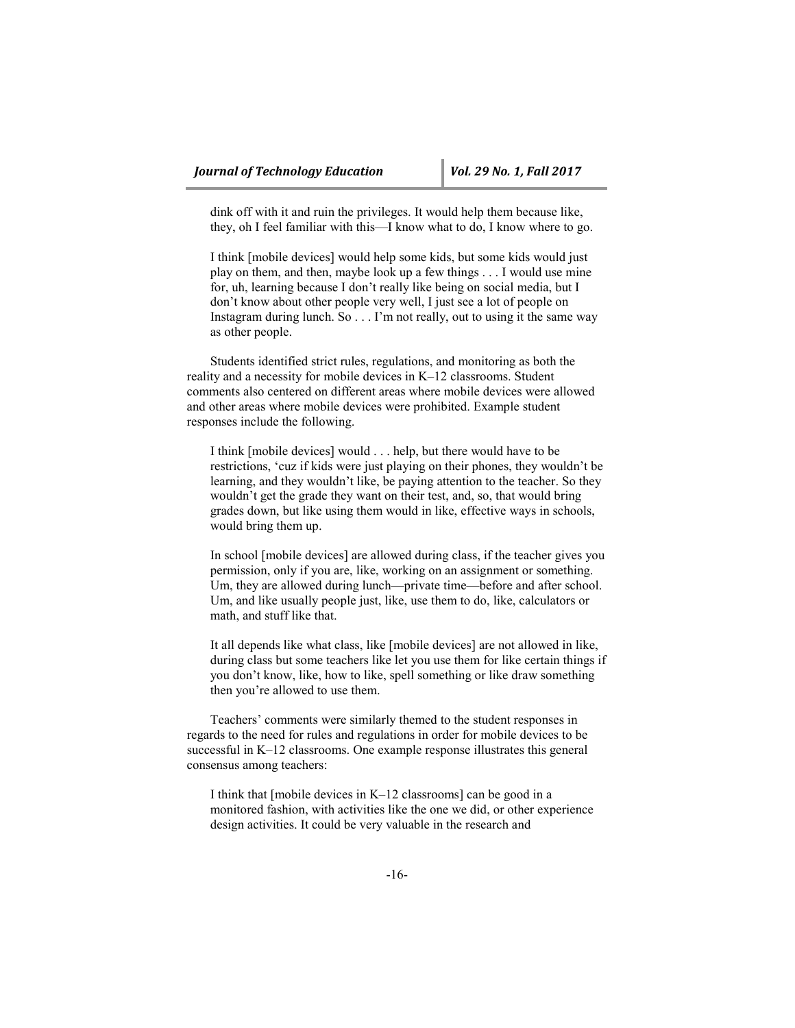dink off with it and ruin the privileges. It would help them because like, they, oh I feel familiar with this—I know what to do, I know where to go.

I think [mobile devices] would help some kids, but some kids would just play on them, and then, maybe look up a few things . . . I would use mine for, uh, learning because I don't really like being on social media, but I don't know about other people very well, I just see a lot of people on Instagram during lunch. So . . . I'm not really, out to using it the same way as other people.

Students identified strict rules, regulations, and monitoring as both the reality and a necessity for mobile devices in K–12 classrooms. Student comments also centered on different areas where mobile devices were allowed and other areas where mobile devices were prohibited. Example student responses include the following.

I think [mobile devices] would . . . help, but there would have to be restrictions, 'cuz if kids were just playing on their phones, they wouldn't be learning, and they wouldn't like, be paying attention to the teacher. So they wouldn't get the grade they want on their test, and, so, that would bring grades down, but like using them would in like, effective ways in schools, would bring them up.

In school [mobile devices] are allowed during class, if the teacher gives you permission, only if you are, like, working on an assignment or something. Um, they are allowed during lunch—private time—before and after school. Um, and like usually people just, like, use them to do, like, calculators or math, and stuff like that.

It all depends like what class, like [mobile devices] are not allowed in like, during class but some teachers like let you use them for like certain things if you don't know, like, how to like, spell something or like draw something then you're allowed to use them.

Teachers' comments were similarly themed to the student responses in regards to the need for rules and regulations in order for mobile devices to be successful in K–12 classrooms. One example response illustrates this general consensus among teachers:

I think that [mobile devices in K–12 classrooms] can be good in a monitored fashion, with activities like the one we did, or other experience design activities. It could be very valuable in the research and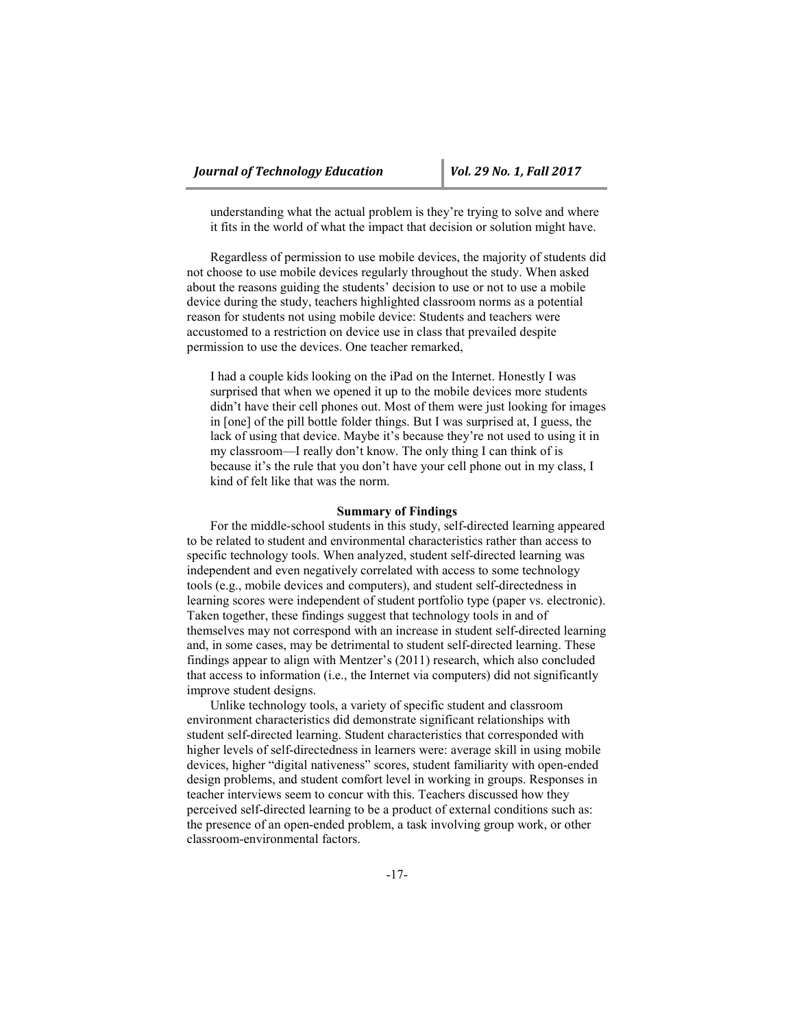understanding what the actual problem is they're trying to solve and where it fits in the world of what the impact that decision or solution might have.

Regardless of permission to use mobile devices, the majority of students did not choose to use mobile devices regularly throughout the study. When asked about the reasons guiding the students' decision to use or not to use a mobile device during the study, teachers highlighted classroom norms as a potential reason for students not using mobile device: Students and teachers were accustomed to a restriction on device use in class that prevailed despite permission to use the devices. One teacher remarked,

I had a couple kids looking on the iPad on the Internet. Honestly I was surprised that when we opened it up to the mobile devices more students didn't have their cell phones out. Most of them were just looking for images in [one] of the pill bottle folder things. But I was surprised at, I guess, the lack of using that device. Maybe it's because they're not used to using it in my classroom—I really don't know. The only thing I can think of is because it's the rule that you don't have your cell phone out in my class, I kind of felt like that was the norm.

#### **Summary of Findings**

For the middle-school students in this study, self-directed learning appeared to be related to student and environmental characteristics rather than access to specific technology tools. When analyzed, student self-directed learning was independent and even negatively correlated with access to some technology tools (e.g., mobile devices and computers), and student self-directedness in learning scores were independent of student portfolio type (paper vs. electronic). Taken together, these findings suggest that technology tools in and of themselves may not correspond with an increase in student self-directed learning and, in some cases, may be detrimental to student self-directed learning. These findings appear to align with Mentzer's (2011) research, which also concluded that access to information (i.e., the Internet via computers) did not significantly improve student designs.

Unlike technology tools, a variety of specific student and classroom environment characteristics did demonstrate significant relationships with student self-directed learning. Student characteristics that corresponded with higher levels of self-directedness in learners were: average skill in using mobile devices, higher "digital nativeness" scores, student familiarity with open-ended design problems, and student comfort level in working in groups. Responses in teacher interviews seem to concur with this. Teachers discussed how they perceived self-directed learning to be a product of external conditions such as: the presence of an open-ended problem, a task involving group work, or other classroom-environmental factors.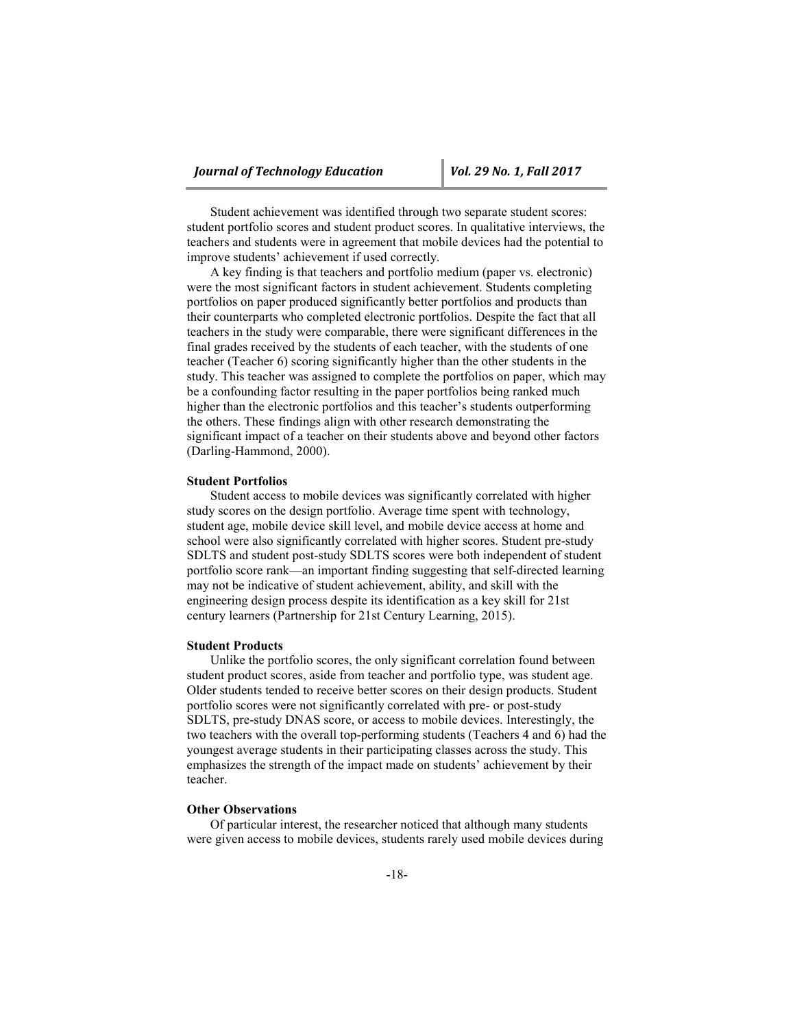Student achievement was identified through two separate student scores: student portfolio scores and student product scores. In qualitative interviews, the teachers and students were in agreement that mobile devices had the potential to improve students' achievement if used correctly.

A key finding is that teachers and portfolio medium (paper vs. electronic) were the most significant factors in student achievement. Students completing portfolios on paper produced significantly better portfolios and products than their counterparts who completed electronic portfolios. Despite the fact that all teachers in the study were comparable, there were significant differences in the final grades received by the students of each teacher, with the students of one teacher (Teacher 6) scoring significantly higher than the other students in the study. This teacher was assigned to complete the portfolios on paper, which may be a confounding factor resulting in the paper portfolios being ranked much higher than the electronic portfolios and this teacher's students outperforming the others. These findings align with other research demonstrating the significant impact of a teacher on their students above and beyond other factors (Darling-Hammond, 2000).

## **Student Portfolios**

Student access to mobile devices was significantly correlated with higher study scores on the design portfolio. Average time spent with technology, student age, mobile device skill level, and mobile device access at home and school were also significantly correlated with higher scores. Student pre-study SDLTS and student post-study SDLTS scores were both independent of student portfolio score rank—an important finding suggesting that self-directed learning may not be indicative of student achievement, ability, and skill with the engineering design process despite its identification as a key skill for 21st century learners (Partnership for 21st Century Learning, 2015).

## **Student Products**

Unlike the portfolio scores, the only significant correlation found between student product scores, aside from teacher and portfolio type, was student age. Older students tended to receive better scores on their design products. Student portfolio scores were not significantly correlated with pre- or post-study SDLTS, pre-study DNAS score, or access to mobile devices. Interestingly, the two teachers with the overall top-performing students (Teachers 4 and 6) had the youngest average students in their participating classes across the study. This emphasizes the strength of the impact made on students' achievement by their teacher.

# **Other Observations**

Of particular interest, the researcher noticed that although many students were given access to mobile devices, students rarely used mobile devices during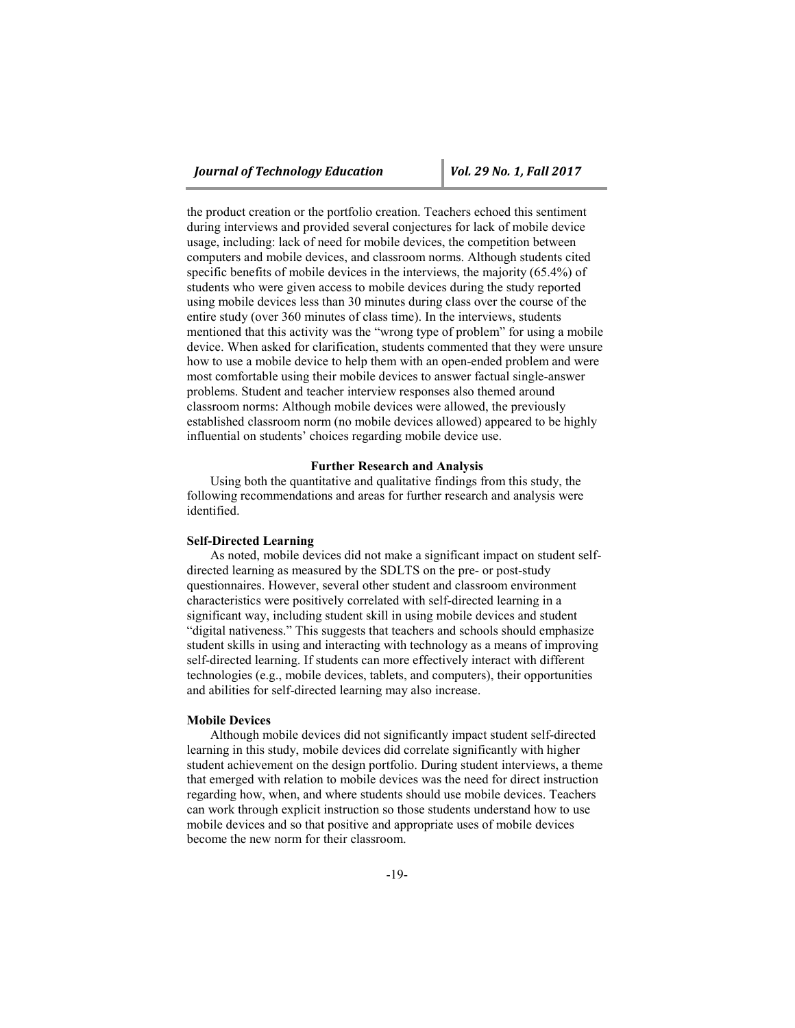the product creation or the portfolio creation. Teachers echoed this sentiment during interviews and provided several conjectures for lack of mobile device usage, including: lack of need for mobile devices, the competition between computers and mobile devices, and classroom norms. Although students cited specific benefits of mobile devices in the interviews, the majority (65.4%) of students who were given access to mobile devices during the study reported using mobile devices less than 30 minutes during class over the course of the entire study (over 360 minutes of class time). In the interviews, students mentioned that this activity was the "wrong type of problem" for using a mobile device. When asked for clarification, students commented that they were unsure how to use a mobile device to help them with an open-ended problem and were most comfortable using their mobile devices to answer factual single-answer problems. Student and teacher interview responses also themed around classroom norms: Although mobile devices were allowed, the previously established classroom norm (no mobile devices allowed) appeared to be highly influential on students' choices regarding mobile device use.

#### **Further Research and Analysis**

Using both the quantitative and qualitative findings from this study, the following recommendations and areas for further research and analysis were identified.

#### **Self-Directed Learning**

As noted, mobile devices did not make a significant impact on student selfdirected learning as measured by the SDLTS on the pre- or post-study questionnaires. However, several other student and classroom environment characteristics were positively correlated with self-directed learning in a significant way, including student skill in using mobile devices and student "digital nativeness." This suggests that teachers and schools should emphasize student skills in using and interacting with technology as a means of improving self-directed learning. If students can more effectively interact with different technologies (e.g., mobile devices, tablets, and computers), their opportunities and abilities for self-directed learning may also increase.

# **Mobile Devices**

Although mobile devices did not significantly impact student self-directed learning in this study, mobile devices did correlate significantly with higher student achievement on the design portfolio. During student interviews, a theme that emerged with relation to mobile devices was the need for direct instruction regarding how, when, and where students should use mobile devices. Teachers can work through explicit instruction so those students understand how to use mobile devices and so that positive and appropriate uses of mobile devices become the new norm for their classroom.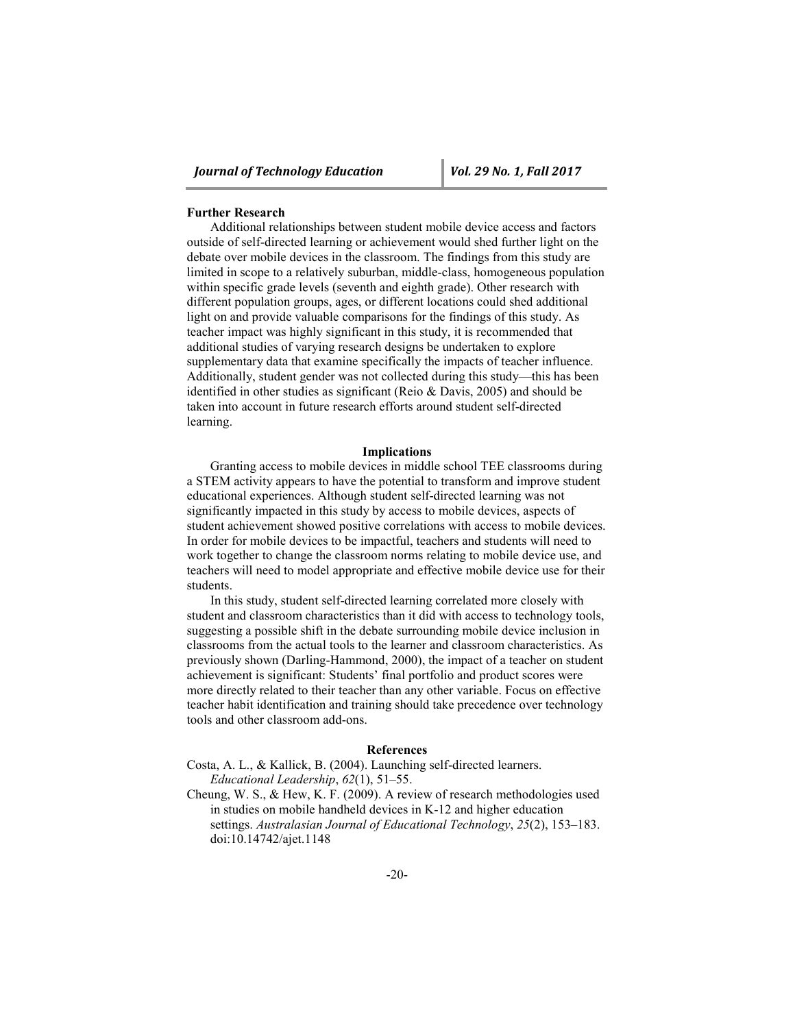#### **Further Research**

Additional relationships between student mobile device access and factors outside of self-directed learning or achievement would shed further light on the debate over mobile devices in the classroom. The findings from this study are limited in scope to a relatively suburban, middle-class, homogeneous population within specific grade levels (seventh and eighth grade). Other research with different population groups, ages, or different locations could shed additional light on and provide valuable comparisons for the findings of this study. As teacher impact was highly significant in this study, it is recommended that additional studies of varying research designs be undertaken to explore supplementary data that examine specifically the impacts of teacher influence. Additionally, student gender was not collected during this study—this has been identified in other studies as significant (Reio & Davis, 2005) and should be taken into account in future research efforts around student self-directed learning.

#### **Implications**

Granting access to mobile devices in middle school TEE classrooms during a STEM activity appears to have the potential to transform and improve student educational experiences. Although student self-directed learning was not significantly impacted in this study by access to mobile devices, aspects of student achievement showed positive correlations with access to mobile devices. In order for mobile devices to be impactful, teachers and students will need to work together to change the classroom norms relating to mobile device use, and teachers will need to model appropriate and effective mobile device use for their students.

In this study, student self-directed learning correlated more closely with student and classroom characteristics than it did with access to technology tools, suggesting a possible shift in the debate surrounding mobile device inclusion in classrooms from the actual tools to the learner and classroom characteristics. As previously shown (Darling-Hammond, 2000), the impact of a teacher on student achievement is significant: Students' final portfolio and product scores were more directly related to their teacher than any other variable. Focus on effective teacher habit identification and training should take precedence over technology tools and other classroom add-ons.

## **References**

Costa, A. L., & Kallick, B. (2004). Launching self-directed learners. *Educational Leadership*, *62*(1), 51–55.

Cheung, W. S., & Hew, K. F. (2009). A review of research methodologies used in studies on mobile handheld devices in K-12 and higher education settings. *Australasian Journal of Educational Technology*, *25*(2), 153–183. doi:10.14742/ajet.1148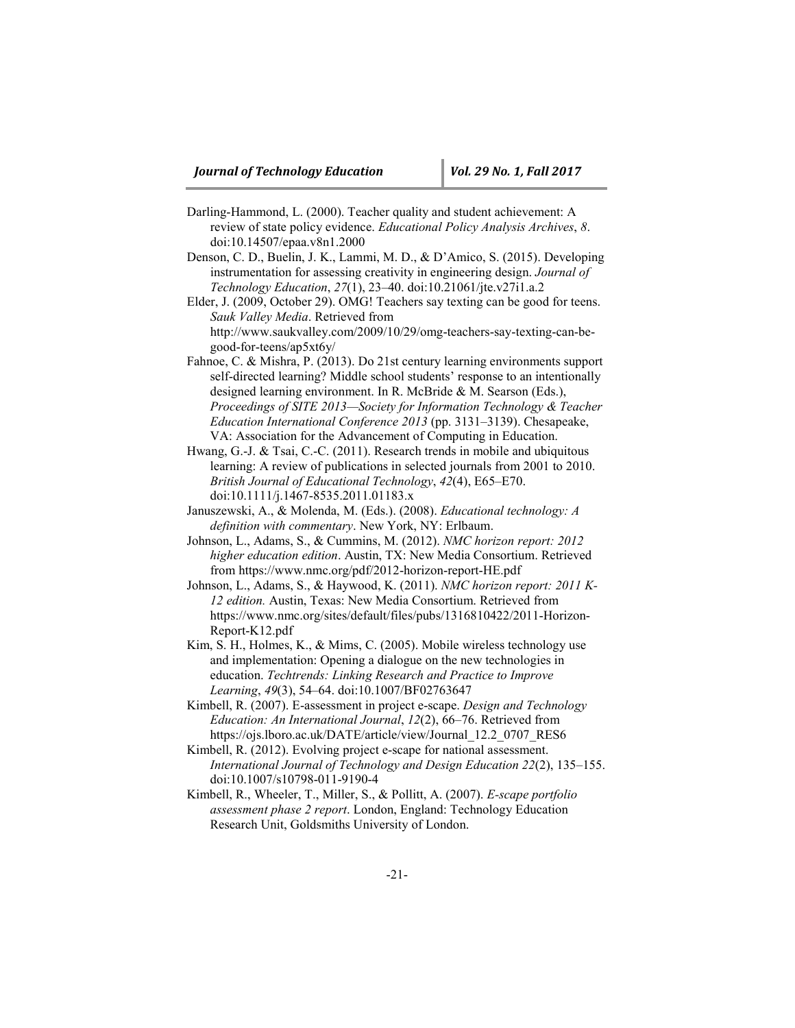- Darling-Hammond, L. (2000). Teacher quality and student achievement: A review of state policy evidence. *Educational Policy Analysis Archives*, *8*. doi:10.14507/epaa.v8n1.2000
- Denson, C. D., Buelin, J. K., Lammi, M. D., & D'Amico, S. (2015). Developing instrumentation for assessing creativity in engineering design. *Journal of Technology Education*, *27*(1), 23–40. doi:10.21061/jte.v27i1.a.2
- Elder, J. (2009, October 29). OMG! Teachers say texting can be good for teens. *Sauk Valley Media*. Retrieved from http://www.saukvalley.com/2009/10/29/omg-teachers-say-texting-can-begood-for-teens/ap5xt6y/
- Fahnoe, C. & Mishra, P. (2013). Do 21st century learning environments support self-directed learning? Middle school students' response to an intentionally designed learning environment. In R. McBride & M. Searson (Eds.), *Proceedings of SITE 2013—Society for Information Technology & Teacher Education International Conference 2013* (pp. 3131–3139). Chesapeake, VA: Association for the Advancement of Computing in Education.
- Hwang, G.-J. & Tsai, C.-C. (2011). Research trends in mobile and ubiquitous learning: A review of publications in selected journals from 2001 to 2010. *British Journal of Educational Technology*, *42*(4), E65–E70. doi:10.1111/j.1467-8535.2011.01183.x
- Januszewski, A., & Molenda, M. (Eds.). (2008). *Educational technology: A definition with commentary*. New York, NY: Erlbaum.
- Johnson, L., Adams, S., & Cummins, M. (2012). *NMC horizon report: 2012 higher education edition*. Austin, TX: New Media Consortium. Retrieved from https://www.nmc.org/pdf/2012-horizon-report-HE.pdf
- Johnson, L., Adams, S., & Haywood, K. (2011). *NMC horizon report: 2011 K-12 edition.* Austin, Texas: New Media Consortium. Retrieved from https://www.nmc.org/sites/default/files/pubs/1316810422/2011-Horizon-Report-K12.pdf
- Kim, S. H., Holmes, K., & Mims, C. (2005). Mobile wireless technology use and implementation: Opening a dialogue on the new technologies in education. *Techtrends: Linking Research and Practice to Improve Learning*, *49*(3), 54–64. doi:10.1007/BF02763647
- Kimbell, R. (2007). E-assessment in project e-scape. *Design and Technology Education: An International Journal*, *12*(2), 66–76. Retrieved from https://ojs.lboro.ac.uk/DATE/article/view/Journal\_12.2\_0707\_RES6
- Kimbell, R. (2012). Evolving project e-scape for national assessment. *International Journal of Technology and Design Education 22*(2), 135–155. doi:10.1007/s10798-011-9190-4
- Kimbell, R., Wheeler, T., Miller, S., & Pollitt, A. (2007). *E-scape portfolio assessment phase 2 report*. London, England: Technology Education Research Unit, Goldsmiths University of London.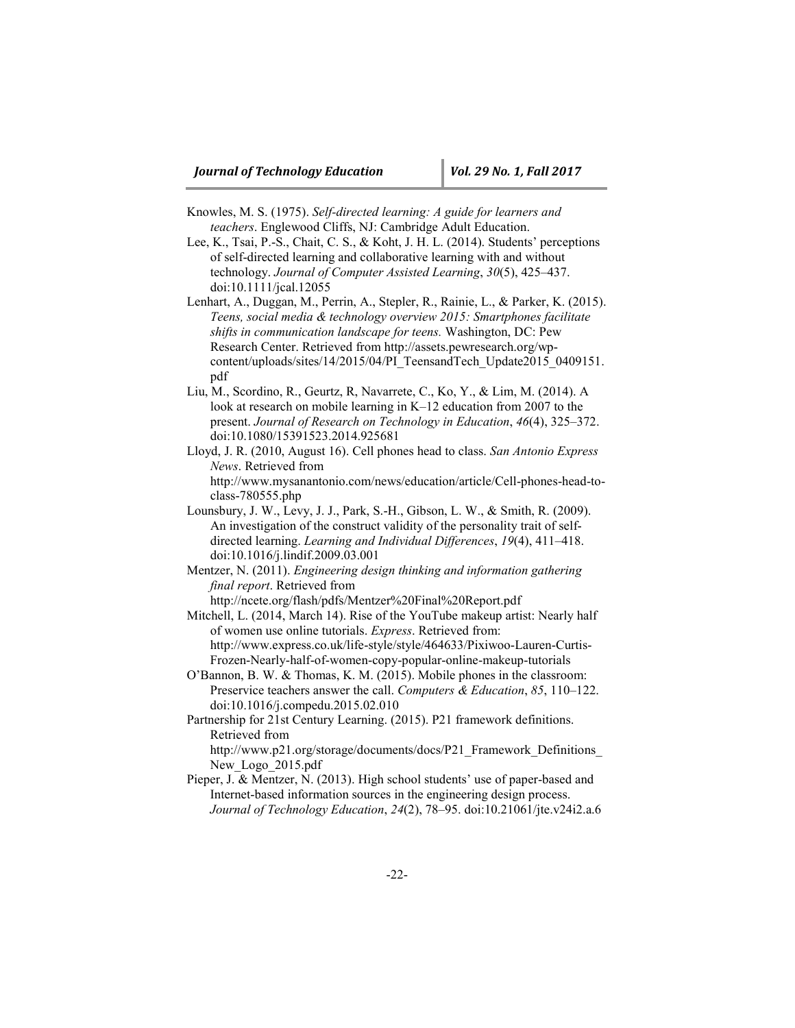- Knowles, M. S. (1975). *Self-directed learning: A guide for learners and teachers*. Englewood Cliffs, NJ: Cambridge Adult Education.
- Lee, K., Tsai, P.-S., Chait, C. S., & Koht, J. H. L. (2014). Students' perceptions of self-directed learning and collaborative learning with and without technology. *Journal of Computer Assisted Learning*, *30*(5), 425–437. doi:10.1111/jcal.12055
- Lenhart, A., Duggan, M., Perrin, A., Stepler, R., Rainie, L., & Parker, K. (2015). *Teens, social media & technology overview 2015: Smartphones facilitate shifts in communication landscape for teens.* Washington, DC: Pew Research Center. Retrieved from http://assets.pewresearch.org/wpcontent/uploads/sites/14/2015/04/PI\_TeensandTech\_Update2015\_0409151. pdf
- Liu, M., Scordino, R., Geurtz, R, Navarrete, C., Ko, Y., & Lim, M. (2014). A look at research on mobile learning in K–12 education from 2007 to the present. *Journal of Research on Technology in Education*, *46*(4), 325–372. doi:10.1080/15391523.2014.925681
- Lloyd, J. R. (2010, August 16). Cell phones head to class. *San Antonio Express News*. Retrieved from [http://www.mysanantonio.com/news/education/article/Cell-phones-head-to-](http://www.mysanantonio.com/news/education/article/Cell-phones-head-to-class-780555.php)
- [class-780555.php](http://www.mysanantonio.com/news/education/article/Cell-phones-head-to-class-780555.php) Lounsbury, J. W., Levy, J. J., Park, S.-H., Gibson, L. W., & Smith, R. (2009). An investigation of the construct validity of the personality trait of selfdirected learning. *Learning and Individual Differences*, *19*(4), 411–418. doi:10.1016/j.lindif.2009.03.001
- Mentzer, N. (2011). *Engineering design thinking and information gathering final report*. Retrieved from

http://ncete.org/flash/pdfs/Mentzer%20Final%20Report.pdf

- Mitchell, L. (2014, March 14). Rise of the YouTube makeup artist: Nearly half of women use online tutorials. *Express*. Retrieved from: [http://www.express.co.uk/life-style/style/464633/Pixiwoo-Lauren-Curtis-](http://www.express.co.uk/life-style/style/464633/Pixiwoo-Lauren-Curtis-Frozen-Nearly-half-of-women-copy-popular-online-makeup-tutorials)[Frozen-Nearly-half-of-women-copy-popular-online-makeup-tutorials](http://www.express.co.uk/life-style/style/464633/Pixiwoo-Lauren-Curtis-Frozen-Nearly-half-of-women-copy-popular-online-makeup-tutorials)
- O'Bannon, B. W. & Thomas, K. M. (2015). Mobile phones in the classroom: Preservice teachers answer the call. *Computers & Education*, *85*, 110–122. doi:10.1016/j.compedu.2015.02.010
- Partnership for 21st Century Learning. (2015). P21 framework definitions. Retrieved from

http://www.p21.org/storage/documents/docs/P21\_Framework\_Definitions\_ New\_Logo\_2015.pdf

Pieper, J. & Mentzer, N. (2013). High school students' use of paper-based and Internet-based information sources in the engineering design process. *Journal of Technology Education*, *24*(2), 78–95. doi:10.21061/jte.v24i2.a.6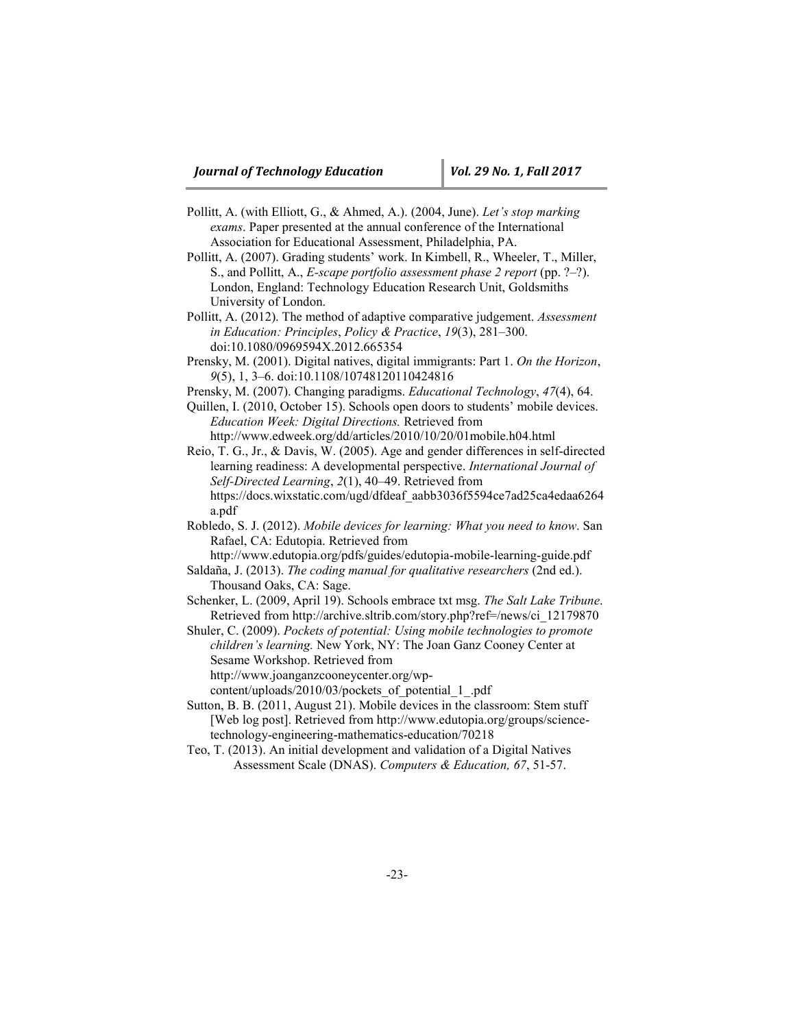- Pollitt, A. (with Elliott, G., & Ahmed, A.). (2004, June). *Let's stop marking exams*. Paper presented at the annual conference of the International Association for Educational Assessment, Philadelphia, PA.
- Pollitt, A. (2007). Grading students' work. In Kimbell, R., Wheeler, T., Miller, S., and Pollitt, A., *E-scape portfolio assessment phase 2 report* (pp. ?–?). London, England: Technology Education Research Unit, Goldsmiths University of London.
- Pollitt, A. (2012). The method of adaptive comparative judgement. *Assessment in Education: Principles*, *Policy & Practice*, *19*(3), 281–300. doi:10.1080/0969594X.2012.665354
- Prensky, M. (2001). Digital natives, digital immigrants: Part 1. *On the Horizon*, *9*(5), 1, 3–6. doi:10.1108/10748120110424816
- Prensky, M. (2007). Changing paradigms. *Educational Technology*, *47*(4), 64.
- Quillen, I. (2010, October 15). Schools open doors to students' mobile devices. *Education Week: Digital Directions.* Retrieved from

<http://www.edweek.org/dd/articles/2010/10/20/01mobile.h04.html>

- Reio, T. G., Jr., & Davis, W. (2005). Age and gender differences in self-directed learning readiness: A developmental perspective. *International Journal of Self-Directed Learning*, *2*(1), 40–49. Retrieved from https://docs.wixstatic.com/ugd/dfdeaf\_aabb3036f5594ce7ad25ca4edaa6264 a.pdf
- Robledo, S. J. (2012). *Mobile devices for learning: What you need to know*. San Rafael, CA: Edutopia. Retrieved from
- <http://www.edutopia.org/pdfs/guides/edutopia-mobile-learning-guide.pdf> Saldaña, J. (2013). *The coding manual for qualitative researchers* (2nd ed.).

Thousand Oaks, CA: Sage.

- Schenker, L. (2009, April 19). Schools embrace txt msg. *The Salt Lake Tribune*. Retrieved from http://archive.sltrib.com/story.php?ref=/news/ci\_12179870
- Shuler, C. (2009). *Pockets of potential: Using mobile technologies to promote children's learning.* New York, NY: The Joan Ganz Cooney Center at Sesame Workshop. Retrieved from
	- [http://www.joanganzcooneycenter.org/wp-](http://www.joanganzcooneycenter.org/wp-content/uploads/2010/03/pockets_of_potential_1_.pdf)

[content/uploads/2010/03/pockets\\_of\\_potential\\_1\\_.pdf](http://www.joanganzcooneycenter.org/wp-content/uploads/2010/03/pockets_of_potential_1_.pdf)

- Sutton, B. B. (2011, August 21). Mobile devices in the classroom: Stem stuff [Web log post]. Retrieved from http://www.edutopia.org/groups/sciencetechnology-engineering-mathematics-education/70218
- Teo, T. (2013). An initial development and validation of a Digital Natives Assessment Scale (DNAS). *Computers & Education, 67*, 51-57.